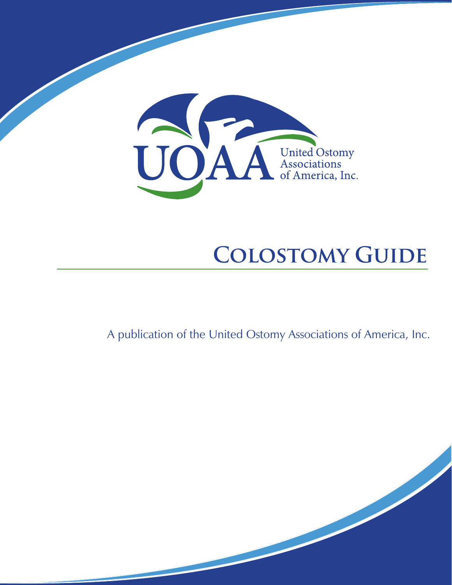

# **COLOSTOMY GUIDE**

A publication of the United Ostomy Associations of America, Inc.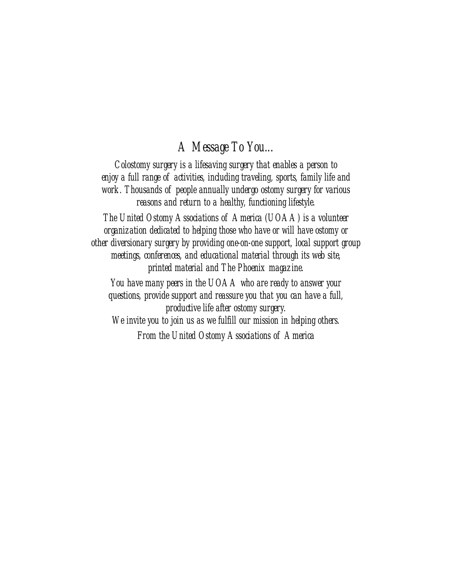### *A Message To You...*

*Colostomy surgery is a lifesaving surgery that enables a person to enjoy a full range of activities, including traveling, sports, family life and work. Thousands of people annually undergo ostomy surgery for various reasons and return to a healthy, functioning lifestyle.*

*The United Ostomy Associations of America (UOAA) is a volunteer organization dedicated to helping those who have or will have ostomy or other diversionary surgery by providing one-on-one support, local support group meetings, conferences, and educational material through its web site, printed material and The Phoenix magazine.*

*You have many peers in the UOAA who are ready to answer your questions, provide support and reassure you that you can have a full, productive life after ostomy surgery. We invite you to join us as we fulfill our mission in helping others.*

*From the United Ostomy Associations of America*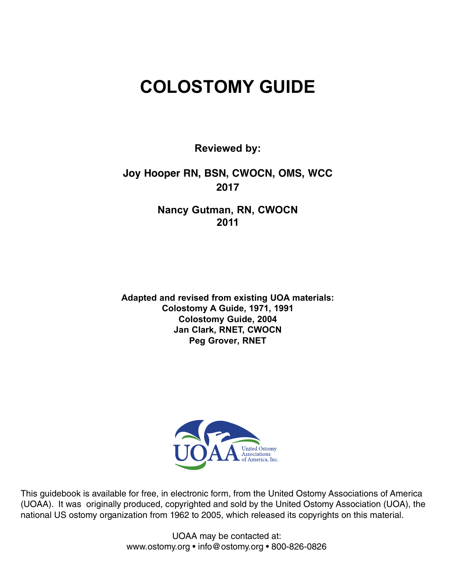## **COLOSTOMY GUIDE**

**Reviewed by:**

### **Joy Hooper RN, BSN, CWOCN, OMS, WCC 2017**

**Nancy Gutman, RN, CWOCN 2011**

**Adapted and revised from existing UOA materials: Colostomy A Guide, 1971, 1991 Colostomy Guide, 2004 Jan Clark, RNET, CWOCN Peg Grover, RNET**



This guidebook is available for free, in electronic form, from the United Ostomy Associations of America (UOAA). It was originally produced, copyrighted and sold by the United Ostomy Association (UOA), the national US ostomy organization from 1962 to 2005, which released its copyrights on this material.

> UOAA may be contacted at: [www.ostomy.org](http://www.ostomy.org/) • [info@ostomy.org](mailto:info@ostomy.org) • 800-826-0826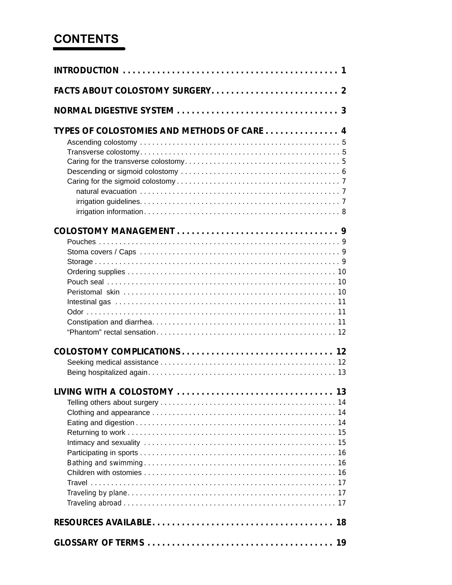## **CONTENTS**

| TYPES OF COLOSTOMIES AND METHODS OF CARE  4<br>LIVING WITH A COLOSTOMY  13 |  |
|----------------------------------------------------------------------------|--|
|                                                                            |  |
|                                                                            |  |
|                                                                            |  |
|                                                                            |  |
|                                                                            |  |
|                                                                            |  |
|                                                                            |  |
|                                                                            |  |
|                                                                            |  |
|                                                                            |  |
|                                                                            |  |
|                                                                            |  |
|                                                                            |  |
|                                                                            |  |
|                                                                            |  |
|                                                                            |  |
|                                                                            |  |
|                                                                            |  |
|                                                                            |  |
|                                                                            |  |
|                                                                            |  |
|                                                                            |  |
|                                                                            |  |
|                                                                            |  |
|                                                                            |  |
|                                                                            |  |
|                                                                            |  |
|                                                                            |  |
|                                                                            |  |
|                                                                            |  |
|                                                                            |  |
|                                                                            |  |
|                                                                            |  |
|                                                                            |  |
|                                                                            |  |
|                                                                            |  |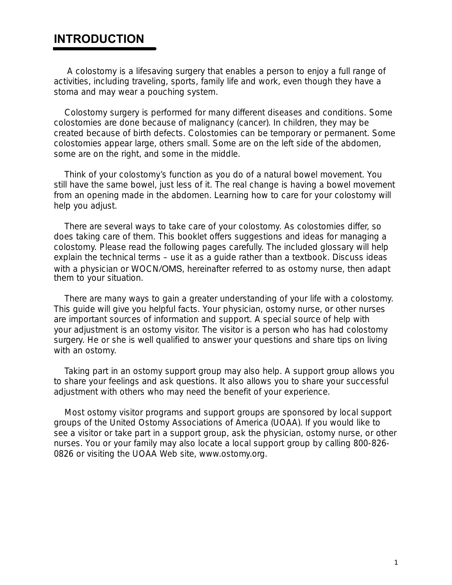### **INTRODUCTION**

A colostomy is a lifesaving surgery that enables a person to enjoy a full range of activities, including traveling, sports, family life and work, even though they have a stoma and may wear a pouching system.

Colostomy surgery is performed for many different diseases and conditions. Some colostomies are done because of malignancy (cancer). In children, they may be created because of birth defects. Colostomies can be temporary or permanent. Some colostomies appear large, others small. Some are on the left side of the abdomen, some are on the right, and some in the middle.

Think of your colostomy's function as you do of a natural bowel movement. You still have the same bowel, just less of it. The real change is having a bowel movement from an opening made in the abdomen. Learning how to care for your colostomy will help you adjust.

There are several ways to take care of your colostomy. As colostomies differ, so does taking care of them. This booklet offers suggestions and ideas for managing a colostomy. Please read the following pages carefully. The included glossary will help explain the technical terms – use it as a guide rather than a textbook. Discuss ideas with a physician or WOCN/OMS, hereinafter referred to as ostomy nurse, then adapt them to your situation.

There are many ways to gain a greater understanding of your life with a colostomy. This guide will give you helpful facts. Your physician, ostomy nurse, or other nurses are important sources of information and support. A special source of help with your adjustment is an ostomy visitor. The visitor is a person who has had colostomy surgery. He or she is well qualified to answer your questions and share tips on living with an ostomy.

Taking part in an ostomy support group may also help. A support group allows you to share your feelings and ask questions. It also allows you to share your successful adjustment with others who may need the benefit of your experience.

Most ostomy visitor programs and support groups are sponsored by local support groups of the United Ostomy Associations of America (UOAA). If you would like to see a visitor or take part in a support group, ask the physician, ostomy nurse, or other nurses. You or your family may also locate a local support group by calling 800-826- 0826 or visiting the UOAA Web site, www.ostomy.org.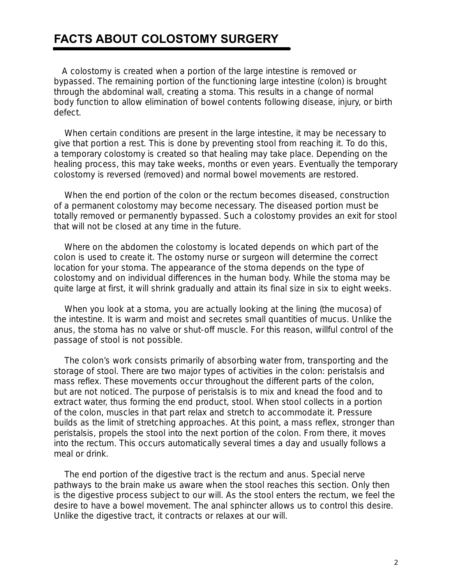### **FACTS ABOUT COLOSTOMY SURGERY**

 A colostomy is created when a portion of the large intestine is removed or bypassed. The remaining portion of the functioning large intestine (colon) is brought through the abdominal wall, creating a stoma. This results in a change of normal body function to allow elimination of bowel contents following disease, injury, or birth defect.

When certain conditions are present in the large intestine, it may be necessary to give that portion a rest. This is done by preventing stool from reaching it. To do this, a *temporary colostomy* is created so that healing may take place. Depending on the healing process, this may take weeks, months or even years. Eventually the temporary colostomy is reversed (removed) and normal bowel movements are restored.

When the end portion of the colon or the rectum becomes diseased, construction of a *permanent colostomy* may become necessary. The diseased portion must be totally removed or permanently bypassed. Such a colostomy provides an exit for stool that will not be closed at any time in the future.

Where on the abdomen the colostomy is located depends on which part of the colon is used to create it. The ostomy nurse or surgeon will determine the correct location for your stoma. The appearance of the stoma depends on the type of colostomy and on individual differences in the human body. While the stoma may be quite large at first, it will shrink gradually and attain its final size in six to eight weeks.

When you look at a stoma, you are actually looking at the lining (the mucosa) of the intestine. It is warm and moist and secretes small quantities of mucus. Unlike the anus, the stoma has no valve or shut-off muscle. For this reason, willful control of the passage of stool is not possible.

The colon's work consists primarily of absorbing water from, transporting and the storage of stool. There are two major types of activities in the colon: peristalsis and mass reflex. These movements occur throughout the different parts of the colon, but are not noticed. The purpose of peristalsis is to mix and knead the food and to extract water, thus forming the end product, stool. When stool collects in a portion of the colon, muscles in that part relax and stretch to accommodate it. Pressure builds as the limit of stretching approaches. At this point, a mass reflex, stronger than peristalsis, propels the stool into the next portion of the colon. From there, it moves into the rectum. This occurs automatically several times a day and usually follows a meal or drink.

The end portion of the digestive tract is the rectum and anus. Special nerve pathways to the brain make us aware when the stool reaches this section. Only then is the digestive process subject to our will. As the stool enters the rectum, we feel the desire to have a bowel movement. The anal sphincter allows us to control this desire. Unlike the digestive tract, it contracts or relaxes at our will.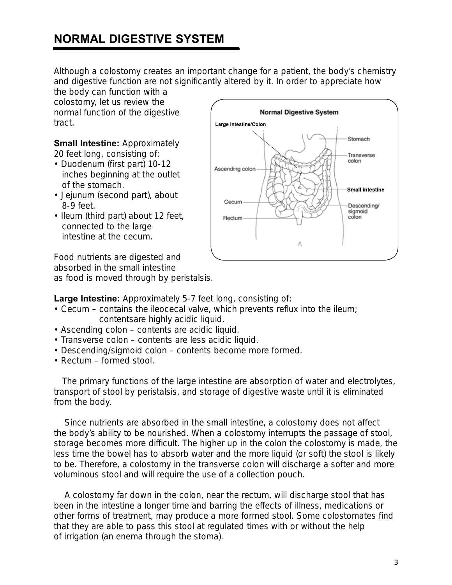### **NORMAL DIGESTIVE SYSTEM**

Although a colostomy creates an important change for a patient, the body's chemistry and digestive function are not significantly altered by it. In order to appreciate how

the body can function with a colostomy, let us review the normal function of the digestive tract.

**Small Intestine:** Approximately 20 feet long, consisting of:

- Duodenum (first part) 10-12 inches beginning at the outlet of the stomach.
- Jejunum (second part), about 8-9 feet.
- Ileum (third part) about 12 feet, connected to the large intestine at the cecum.

Food nutrients are digested and absorbed in the small intestine as food is moved through by peristalsis.



**Large Intestine:** Approximately 5-7 feet long, consisting of:

- Cecum contains the ileocecal valve, which prevents reflux into the ileum; contentsare highly acidic liquid.
- Ascending colon contents are acidic liquid.
- Transverse colon contents are less acidic liquid.
- Descending/sigmoid colon contents become more formed.
- Rectum formed stool.

The primary functions of the large intestine are absorption of water and electrolytes, transport of stool by peristalsis, and storage of digestive waste until it is eliminated from the body.

Since nutrients are absorbed in the small intestine, a colostomy does not affect the body's ability to be nourished. When a colostomy interrupts the passage of stool, storage becomes more difficult. The higher up in the colon the colostomy is made, the less time the bowel has to absorb water and the more liquid (or soft) the stool is likely to be. Therefore, a colostomy in the transverse colon will discharge a softer and more voluminous stool and will require the use of a collection pouch.

A colostomy far down in the colon, near the rectum, will discharge stool that has been in the intestine a longer time and barring the effects of illness, medications or other forms of treatment, may produce a more formed stool. Some colostomates find that they are able to pass this stool at regulated times with or without the help of irrigation (an enema through the stoma).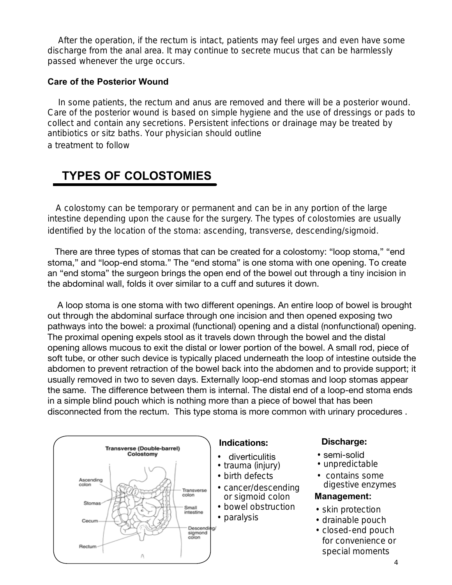After the operation, if the rectum is intact, patients may feel urges and even have some discharge from the anal area. It may continue to secrete mucus that can be harmlessly passed whenever the urge occurs.

#### **Care of the Posterior Wound**

In some patients, the rectum and anus are removed and there will be a posterior wound. Care of the posterior wound is based on simple hygiene and the use of dressings or pads to collect and contain any secretions. Persistent infections or drainage may be treated by antibiotics or sitz baths. Your physician should outline

a treatment to follow

### **TYPES OF COLOSTOMIES**

 A colostomy can be temporary or permanent and can be in any portion of the large intestine depending upon the cause for the surgery. The types of colostomies are usually identified by the location of the stoma: ascending, transverse, descending/sigmoid.

 There are three types of stomas that can be created for a colostomy: "loop stoma," "end stoma," and "loop-end stoma." The "end stoma" is one stoma with one opening. To create an "end stoma" the surgeon brings the open end of the bowel out through a tiny incision in the abdominal wall, folds it over similar to a cuff and sutures it down.

 A loop stoma is one stoma with two different openings. An entire loop of bowel is brought out through the abdominal surface through one incision and then opened exposing two pathways into the bowel: a proximal (functional) opening and a distal (nonfunctional) opening. The proximal opening expels stool as it travels down through the bowel and the distal opening allows mucous to exit the distal or lower portion of the bowel. A small rod, piece of soft tube, or other such device is typically placed underneath the loop of intestine outside the abdomen to prevent retraction of the bowel back into the abdomen and to provide support; it usually removed in two to seven days. Externally loop-end stomas and loop stomas appear the same. The difference between them is internal. The distal end of a loop-end stoma ends in a simple blind pouch which is nothing more than a piece of bowel that has been disconnected from the rectum. This type stoma is more common with urinary procedures .



#### **Indications: Discharge:**

- diverticulitis
- trauma (injury)
- birth defects
- cancer/descending or sigmoid colon
- bowel obstruction
- paralysis

- semi-solid
- unpredictable
- contains some digestive enzymes

#### **Management:**

- skin protection
- drainable pouch
- closed-end pouch for convenience or special moments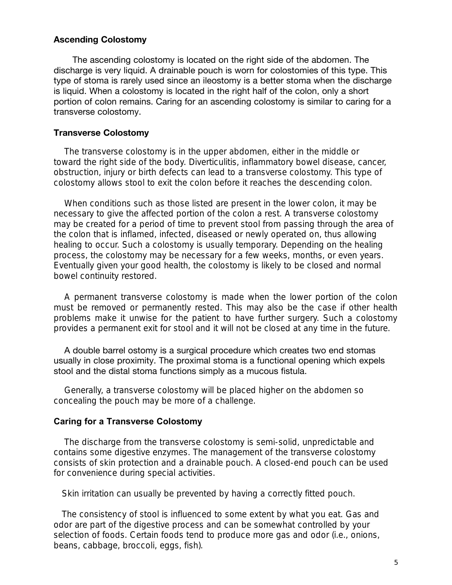#### **Ascending Colostomy**

 The ascending colostomy is located on the right side of the abdomen. The discharge is very liquid. A drainable pouch is worn for colostomies of this type. This type of stoma is rarely used since an ileostomy is a better stoma when the discharge is liquid. When a colostomy is located in the right half of the colon, only a short portion of colon remains. Caring for an ascending colostomy is similar to caring for a transverse colostomy.

#### **Transverse Colostomy**

The transverse colostomy is in the upper abdomen, either in the middle or toward the right side of the body. Diverticulitis, inflammatory bowel disease, cancer, obstruction, injury or birth defects can lead to a transverse colostomy. This type of colostomy allows stool to exit the colon before it reaches the descending colon.

When conditions such as those listed are present in the lower colon, it may be necessary to give the affected portion of the colon a rest. A transverse colostomy may be created for a period of time to prevent stool from passing through the area of the colon that is inflamed, infected, diseased or newly operated on, thus allowing healing to occur. Such a colostomy is usually temporary. Depending on the healing process, the colostomy may be necessary for a few weeks, months, or even years. Eventually given your good health, the colostomy is likely to be closed and normal bowel continuity restored.

A permanent transverse colostomy is made when the lower portion of the colon must be removed or permanently rested. This may also be the case if other health problems make it unwise for the patient to have further surgery. Such a colostomy provides a permanent exit for stool and it will not be closed at any time in the future.

A double barrel ostomy is a surgical procedure which creates two end stomas usually in close proximity. The proximal stoma is a functional opening which expels stool and the distal stoma functions simply as a mucous fistula.

Generally, a transverse colostomy will be placed higher on the abdomen so concealing the pouch may be more of a challenge.

#### **Caring for a Transverse Colostomy**

The discharge from the transverse colostomy is semi-solid, unpredictable and contains some digestive enzymes. The management of the transverse colostomy consists of skin protection and a drainable pouch. A closed-end pouch can be used for convenience during special activities.

Skin irritation can usually be prevented by having a correctly fitted pouch.

The consistency of stool is influenced to some extent by what you eat. Gas and odor are part of the digestive process and can be somewhat controlled by your selection of foods. Certain foods tend to produce more gas and odor (i.e., onions, beans, cabbage, broccoli, eggs, fish).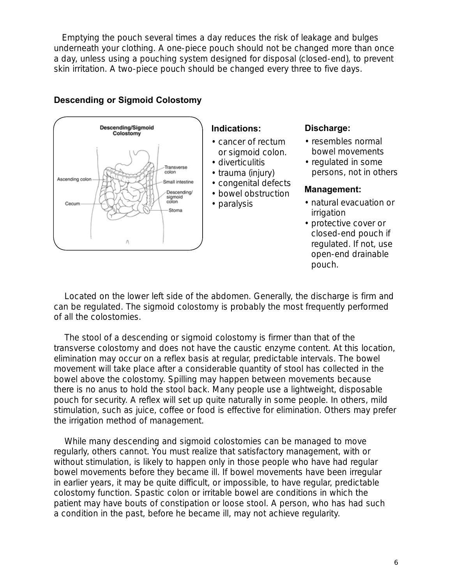Emptying the pouch several times a day reduces the risk of leakage and bulges underneath your clothing. A one-piece pouch should not be changed more than once a day, unless using a pouching system designed for disposal (closed-end), to prevent skin irritation. A two-piece pouch should be changed every three to five days.



#### **Descending or Sigmoid Colostomy**

#### **Indications:**

- cancer of rectum or sigmoid colon.
- diverticulitis
- trauma (injury)
- congenital defects
- bowel obstruction
- paralysis

#### **Discharge:**

- resembles normal bowel movements
- regulated in some persons, not in others

#### **Management:**

- natural evacuation or irrigation
- protective cover or closed-end pouch if regulated. If not, use open-end drainable pouch.

Located on the lower left side of the abdomen. Generally, the discharge is firm and can be regulated. The sigmoid colostomy is probably the most frequently performed of all the colostomies.

The stool of a descending or sigmoid colostomy is firmer than that of the transverse colostomy and does not have the caustic enzyme content. At this location, elimination may occur on a reflex basis at regular, predictable intervals. The bowel movement will take place after a considerable quantity of stool has collected in the bowel above the colostomy. Spilling may happen between movements because there is no anus to hold the stool back. Many people use a lightweight, disposable pouch for security. A reflex will set up quite naturally in some people. In others, mild stimulation, such as juice, coffee or food is effective for elimination. Others may prefer the irrigation method of management.

While many descending and sigmoid colostomies can be managed to move regularly, others cannot. You must realize that satisfactory management, with or without stimulation, is likely to happen only in those people who have had regular bowel movements before they became ill. If bowel movements have been irregular in earlier years, it may be quite difficult, or impossible, to have regular, predictable colostomy function. Spastic colon or irritable bowel are conditions in which the patient may have bouts of constipation or loose stool. A person, who has had such a condition in the past, before he became ill, may not achieve regularity.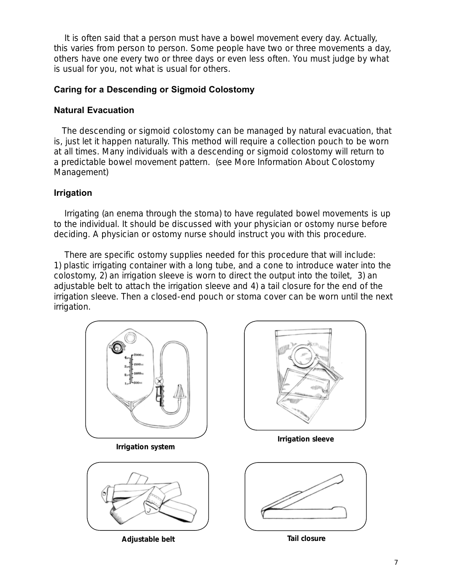It is often said that a person must have a bowel movement every day. Actually, this varies from person to person. Some people have two or three movements a day, others have one every two or three days or even less often. You must judge by what is usual for you, not what is usual for others.

#### **Caring for a Descending or Sigmoid Colostomy**

#### **Natural Evacuation**

 The descending or sigmoid colostomy can be managed by *natural evacuation*, that is, just let it happen naturally. This method will require a collection pouch to be worn at all times. Many individuals with a descending or sigmoid colostomy will return to a predictable bowel movement pattern. (see More Information About Colostomy Management)

### **Irrigation**

Irrigating (an enema through the stoma) to have regulated bowel movements is up to the individual. It should be discussed with your physician or ostomy nurse before deciding. A physician or ostomy nurse should instruct you with this procedure.

There are specific ostomy supplies needed for this procedure that will include: 1) plastic irrigating container with a long tube, and a cone to introduce water into the colostomy, 2) an irrigation sleeve is worn to direct the output into the toilet, 3) an adjustable belt to attach the irrigation sleeve and 4) a tail closure for the end of the irrigation sleeve. Then a closed-end pouch or stoma cover can be worn until the next irrigation.

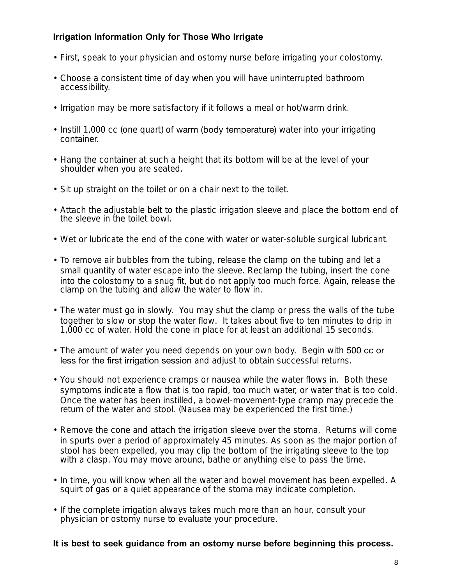#### **Irrigation Information Only for Those Who Irrigate**

- First, speak to your physician and ostomy nurse before irrigating your colostomy.
- Choose a consistent time of day when you will have uninterrupted bathroom accessibility.
- Irrigation may be more satisfactory if it follows a meal or hot/warm drink.
- Instill 1,000 cc (one quart) of warm (body temperature) water into your irrigating container.
- Hang the container at such a height that its bottom will be at the level of your shoulder when you are seated.
- Sit up straight on the toilet or on a chair next to the toilet.
- Attach the adjustable belt to the plastic irrigation sleeve and place the bottom end of the sleeve in the toilet bowl.
- Wet or lubricate the end of the cone with water or water-soluble surgical lubricant.
- To remove air bubbles from the tubing, release the clamp on the tubing and let a small quantity of water escape into the sleeve. Reclamp the tubing, insert the cone into the colostomy to a snug fit, but do not apply too much force. Again, release the clamp on the tubing and allow the water to flow in.
- The water must go in slowly. You may shut the clamp or press the walls of the tube together to slow or stop the water flow. It takes about five to ten minutes to drip in 1,000 cc of water. Hold the cone in place for at least an additional 15 seconds.
- The amount of water you need depends on your own body. Begin with 500 cc or less for the first irrigation session and adjust to obtain successful returns.
- You should not experience cramps or nausea while the water flows in. Both these symptoms indicate a flow that is too rapid, too much water, or water that is too cold. Once the water has been instilled, a bowel-movement-type cramp may precede the return of the water and stool. (Nausea may be experienced the first time.)
- Remove the cone and attach the irrigation sleeve over the stoma. Returns will come in spurts over a period of approximately 45 minutes. As soon as the major portion of stool has been expelled, you may clip the bottom of the irrigating sleeve to the top with a clasp. You may move around, bathe or anything else to pass the time.
- In time, you will know when all the water and bowel movement has been expelled. A squirt of gas or a quiet appearance of the stoma may indicate completion.
- If the complete irrigation always takes much more than an hour, consult your physician or ostomy nurse to evaluate your procedure.

#### **It is best to seek guidance from an ostomy nurse before beginning this process.**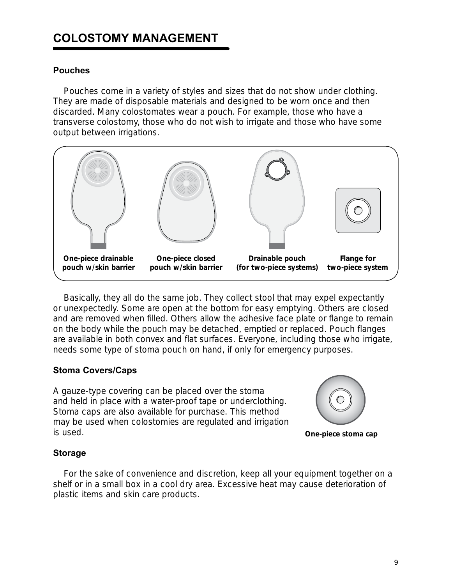### **COLOSTOMY MANAGEMENT**

#### **Pouches**

 Pouches come in a variety of styles and sizes that do not show under clothing. They are made of disposable materials and designed to be worn once and then discarded. Many colostomates wear a pouch. For example, those who have a transverse colostomy, those who do not wish to irrigate and those who have some output between irrigations.



Basically, they all do the same job. They collect stool that may expel expectantly or unexpectedly. Some are open at the bottom for easy emptying. Others are closed and are removed when filled. Others allow the adhesive face plate or flange to remain on the body while the pouch may be detached, emptied or replaced. Pouch flanges are available in both convex and flat surfaces. Everyone, including those who irrigate, needs some type of stoma pouch on hand, if only for emergency purposes.

#### **Stoma Covers/Caps**

A gauze-type covering can be placed over the stoma and held in place with a water-proof tape or underclothing. Stoma caps are also available for purchase. This method may be used when colostomies are regulated and irrigation is used.



**One-piece stoma cap**

#### **Storage**

For the sake of convenience and discretion, keep all your equipment together on a shelf or in a small box in a cool dry area. Excessive heat may cause deterioration of plastic items and skin care products.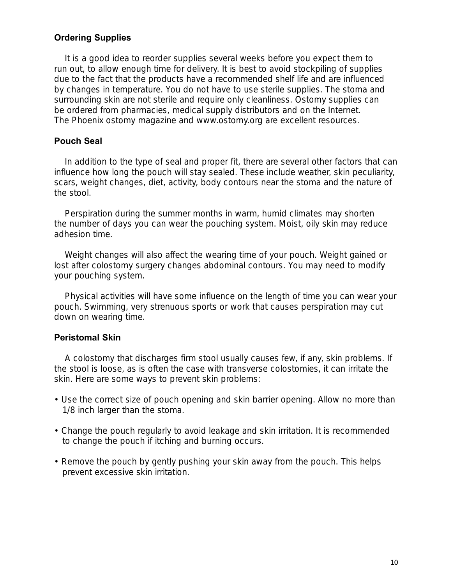#### **Ordering Supplies**

It is a good idea to reorder supplies several weeks before you expect them to run out, to allow enough time for delivery. It is best to avoid stockpiling of supplies due to the fact that the products have a recommended shelf life and are influenced by changes in temperature. You do not have to use sterile supplies. The stoma and surrounding skin are not sterile and require only cleanliness. Ostomy supplies can be ordered from pharmacies, medical supply distributors and on the Internet. *The Phoenix* ostomy magazine and www.ostomy.org are excellent resources.

#### **Pouch Seal**

In addition to the type of seal and proper fit, there are several other factors that can influence how long the pouch will stay sealed. These include weather, skin peculiarity, scars, weight changes, diet, activity, body contours near the stoma and the nature of the stool.

Perspiration during the summer months in warm, humid climates may shorten the number of days you can wear the pouching system. Moist, oily skin may reduce adhesion time.

Weight changes will also affect the wearing time of your pouch. Weight gained or lost after colostomy surgery changes abdominal contours. You may need to modify your pouching system.

Physical activities will have some influence on the length of time you can wear your pouch. Swimming, very strenuous sports or work that causes perspiration may cut down on wearing time.

#### **Peristomal Skin**

A colostomy that discharges firm stool usually causes few, if any, skin problems. If the stool is loose, as is often the case with transverse colostomies, it can irritate the skin. Here are some ways to prevent skin problems:

- Use the correct size of pouch opening and skin barrier opening. Allow no more than 1/8 inch larger than the stoma.
- Change the pouch regularly to avoid leakage and skin irritation. It is recommended to change the pouch if itching and burning occurs.
- Remove the pouch by gently pushing your skin away from the pouch. This helps prevent excessive skin irritation.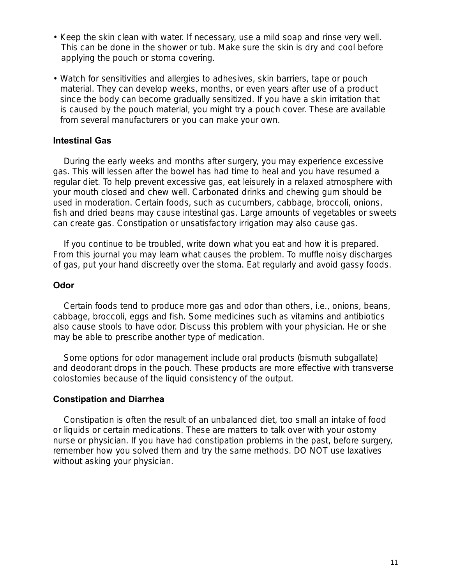- Keep the skin clean with water. If necessary, use a mild soap and rinse very well. This can be done in the shower or tub. Make sure the skin is dry and cool before applying the pouch or stoma covering.
- Watch for sensitivities and allergies to adhesives, skin barriers, tape or pouch material. They can develop weeks, months, or even years after use of a product since the body can become gradually sensitized. If you have a skin irritation that is caused by the pouch material, you might try a pouch cover. These are available from several manufacturers or you can make your own.

#### **Intestinal Gas**

During the early weeks and months after surgery, you may experience excessive gas. This will lessen after the bowel has had time to heal and you have resumed a regular diet. To help prevent excessive gas, eat leisurely in a relaxed atmosphere with your mouth closed and chew well. Carbonated drinks and chewing gum should be used in moderation. Certain foods, such as cucumbers, cabbage, broccoli, onions, fish and dried beans may cause intestinal gas. Large amounts of vegetables or sweets can create gas. Constipation or unsatisfactory irrigation may also cause gas.

If you continue to be troubled, write down what you eat and how it is prepared. From this journal you may learn what causes the problem. To muffle noisy discharges of gas, put your hand discreetly over the stoma. Eat regularly and avoid gassy foods.

#### **Odor**

Certain foods tend to produce more gas and odor than others, i.e., onions, beans, cabbage, broccoli, eggs and fish. Some medicines such as vitamins and antibiotics also cause stools to have odor. Discuss this problem with your physician. He or she may be able to prescribe another type of medication.

Some options for odor management include oral products (bismuth subgallate) and deodorant drops in the pouch. These products are more effective with transverse colostomies because of the liquid consistency of the output.

#### **Constipation and Diarrhea**

Constipation is often the result of an unbalanced diet, too small an intake of food or liquids or certain medications. These are matters to talk over with your ostomy nurse or physician. If you have had constipation problems in the past, before surgery, remember how you solved them and try the same methods. DO NOT use laxatives without asking your physician.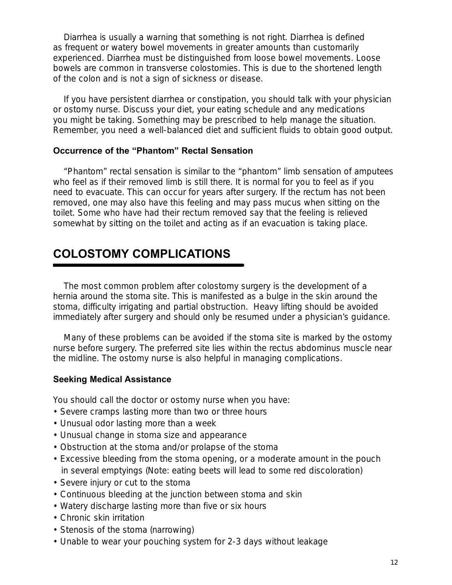Diarrhea is usually a warning that something is not right. Diarrhea is defined as frequent or watery bowel movements in greater amounts than customarily experienced. Diarrhea must be distinguished from loose bowel movements. Loose bowels are common in transverse colostomies. This is due to the shortened length of the colon and is not a sign of sickness or disease.

If you have persistent diarrhea or constipation, you should talk with your physician or ostomy nurse. Discuss your diet, your eating schedule and any medications you might be taking. Something may be prescribed to help manage the situation. Remember, you need a well-balanced diet and sufficient fluids to obtain good output.

#### **Occurrence of the "Phantom" Rectal Sensation**

"Phantom" rectal sensation is similar to the "phantom" limb sensation of amputees who feel as if their removed limb is still there. It is normal for you to feel as if you need to evacuate. This can occur for years after surgery. If the rectum has not been removed, one may also have this feeling and may pass mucus when sitting on the toilet. Some who have had their rectum removed say that the feeling is relieved somewhat by sitting on the toilet and acting as if an evacuation is taking place.

### **COLOSTOMY COMPLICATIONS**

The most common problem after colostomy surgery is the development of a hernia around the stoma site. This is manifested as a bulge in the skin around the stoma, difficulty irrigating and partial obstruction. Heavy lifting should be avoided immediately after surgery and should only be resumed under a physician's guidance.

Many of these problems can be avoided if the stoma site is marked by the ostomy nurse before surgery. The preferred site lies within the rectus abdominus muscle near the midline. The ostomy nurse is also helpful in managing complications.

#### **Seeking Medical Assistance**

You should call the doctor or ostomy nurse when you have:

- Severe cramps lasting more than two or three hours
- Unusual odor lasting more than a week
- Unusual change in stoma size and appearance
- Obstruction at the stoma and/or prolapse of the stoma
- Excessive bleeding from the stoma opening, or a moderate amount in the pouch in several emptyings (Note: eating beets will lead to some red discoloration)
- Severe injury or cut to the stoma
- Continuous bleeding at the junction between stoma and skin
- Watery discharge lasting more than five or six hours
- Chronic skin irritation
- Stenosis of the stoma (narrowing)
- Unable to wear your pouching system for 2-3 days without leakage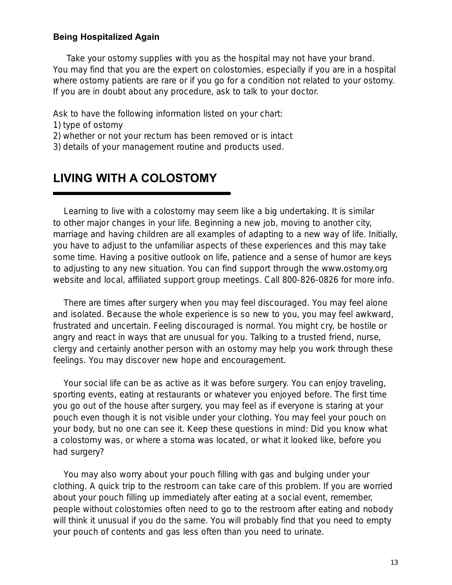#### **Being Hospitalized Again**

 Take your ostomy supplies with you as the hospital may not have your brand. You may find that you are the expert on colostomies, especially if you are in a hospital where ostomy patients are rare or if you go for a condition not related to your ostomy. If you are in doubt about any procedure, ask to talk to your doctor.

Ask to have the following information listed on your chart:

- 1) type of ostomy
- 2) whether or not your rectum has been removed or is intact
- 3) details of your management routine and products used.

### **LIVING WITH A COLOSTOMY**

Learning to live with a colostomy may seem like a big undertaking. It is similar to other major changes in your life. Beginning a new job, moving to another city, marriage and having children are all examples of adapting to a new way of life. Initially, you have to adjust to the unfamiliar aspects of these experiences and this may take some time. Having a positive outlook on life, patience and a sense of humor are keys to adjusting to any new situation. You can find support through the www.ostomy.org website and local, affiliated support group meetings. Call 800-826-0826 for more info.

There are times after surgery when you may feel discouraged. You may feel alone and isolated. Because the whole experience is so new to you, you may feel awkward, frustrated and uncertain. Feeling discouraged is normal. You might cry, be hostile or angry and react in ways that are unusual for you. Talking to a trusted friend, nurse, clergy and certainly another person with an ostomy may help you work through these feelings. You may discover new hope and encouragement.

Your social life can be as active as it was before surgery. You can enjoy traveling, sporting events, eating at restaurants or whatever you enjoyed before. The first time you go out of the house after surgery, you may feel as if everyone is staring at your pouch even though it is not visible under your clothing. You may feel your pouch on your body, but no one can see it. Keep these questions in mind: Did you know what a colostomy was, or where a stoma was located, or what it looked like, before you had surgery?

You may also worry about your pouch filling with gas and bulging under your clothing. A quick trip to the restroom can take care of this problem. If you are worried about your pouch filling up immediately after eating at a social event, remember, people without colostomies often need to go to the restroom after eating and nobody will think it unusual if you do the same. You will probably find that you need to empty your pouch of contents and gas less often than you need to urinate.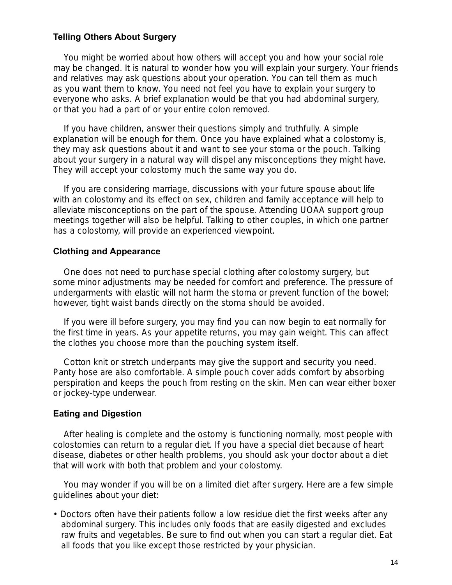#### **Telling Others About Surgery**

You might be worried about how others will accept you and how your social role may be changed. It is natural to wonder how you will explain your surgery. Your friends and relatives may ask questions about your operation. You can tell them as much as you want them to know. You need not feel you have to explain your surgery to everyone who asks. A brief explanation would be that you had abdominal surgery, or that you had a part of or your entire colon removed.

If you have children, answer their questions simply and truthfully. A simple explanation will be enough for them. Once you have explained what a colostomy is, they may ask questions about it and want to see your stoma or the pouch. Talking about your surgery in a natural way will dispel any misconceptions they might have. They will accept your colostomy much the same way you do.

If you are considering marriage, discussions with your future spouse about life with an colostomy and its effect on sex, children and family acceptance will help to alleviate misconceptions on the part of the spouse. Attending UOAA support group meetings together will also be helpful. Talking to other couples, in which one partner has a colostomy, will provide an experienced viewpoint.

#### **Clothing and Appearance**

One does not need to purchase special clothing after colostomy surgery, but some minor adjustments may be needed for comfort and preference. The pressure of undergarments with elastic will not harm the stoma or prevent function of the bowel; however, tight waist bands directly on the stoma should be avoided.

If you were ill before surgery, you may find you can now begin to eat normally for the first time in years. As your appetite returns, you may gain weight. This can affect the clothes you choose more than the pouching system itself.

Cotton knit or stretch underpants may give the support and security you need. Panty hose are also comfortable. A simple pouch cover adds comfort by absorbing perspiration and keeps the pouch from resting on the skin. Men can wear either boxer or jockey-type underwear.

#### **Eating and Digestion**

After healing is complete and the ostomy is functioning normally, most people with colostomies can return to a regular diet. If you have a special diet because of heart disease, diabetes or other health problems, you should ask your doctor about a diet that will work with both that problem and your colostomy.

You may wonder if you will be on a limited diet after surgery. Here are a few simple guidelines about your diet:

• Doctors often have their patients follow a low residue diet the first weeks after any abdominal surgery. This includes only foods that are easily digested and excludes raw fruits and vegetables. Be sure to find out when you can start a regular diet. Eat all foods that you like except those restricted by your physician.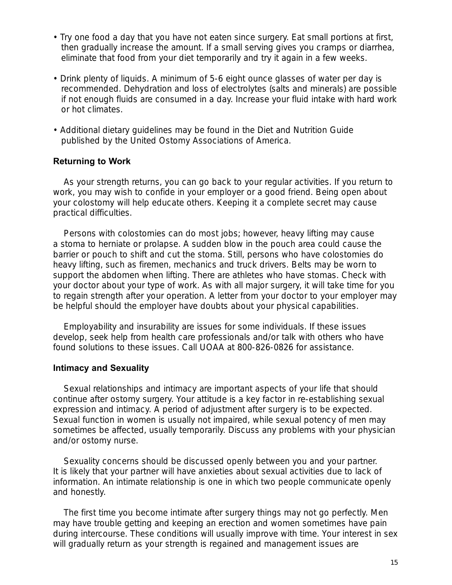- Try one food a day that you have not eaten since surgery. Eat small portions at first, then gradually increase the amount. If a small serving gives you cramps or diarrhea, eliminate that food from your diet temporarily and try it again in a few weeks.
- Drink plenty of liquids. A minimum of 5-6 eight ounce glasses of water per day is recommended. Dehydration and loss of electrolytes (salts and minerals) are possible if not enough fluids are consumed in a day. Increase your fluid intake with hard work or hot climates.
- Additional dietary guidelines may be found in the *Diet and Nutrition Guide* published by the United Ostomy Associations of America.

#### **Returning to Work**

As your strength returns, you can go back to your regular activities. If you return to work, you may wish to confide in your employer or a good friend. Being open about your colostomy will help educate others. Keeping it a complete secret may cause practical difficulties.

Persons with colostomies can do most jobs; however, heavy lifting may cause a stoma to herniate or prolapse. A sudden blow in the pouch area could cause the barrier or pouch to shift and cut the stoma. Still, persons who have colostomies do heavy lifting, such as firemen, mechanics and truck drivers. Belts may be worn to support the abdomen when lifting. There are athletes who have stomas. Check with your doctor about your type of work. As with all major surgery, it will take time for you to regain strength after your operation. A letter from your doctor to your employer may be helpful should the employer have doubts about your physical capabilities.

Employability and insurability are issues for some individuals. If these issues develop, seek help from health care professionals and/or talk with others who have found solutions to these issues. Call UOAA at 800-826-0826 for assistance.

#### **Intimacy and Sexuality**

Sexual relationships and intimacy are important aspects of your life that should continue after ostomy surgery. Your attitude is a key factor in re-establishing sexual expression and intimacy. A period of adjustment after surgery is to be expected. Sexual function in women is usually not impaired, while sexual potency of men may sometimes be affected, usually temporarily. Discuss any problems with your physician and/or ostomy nurse.

Sexuality concerns should be discussed openly between you and your partner. It is likely that your partner will have anxieties about sexual activities due to lack of information. An intimate relationship is one in which two people communicate openly and honestly.

The first time you become intimate after surgery things may not go perfectly. Men may have trouble getting and keeping an erection and women sometimes have pain during intercourse. These conditions will usually improve with time. Your interest in sex will gradually return as your strength is regained and management issues are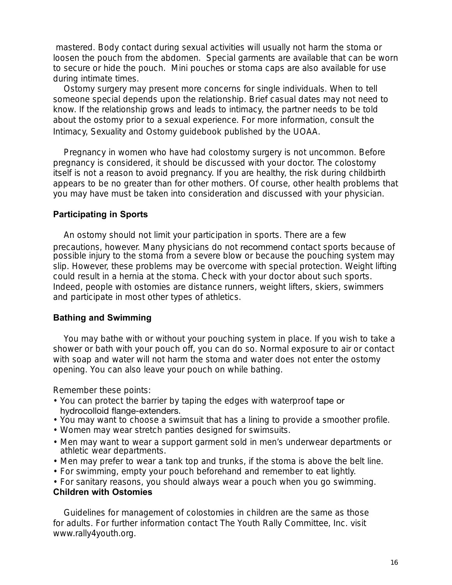mastered. Body contact during sexual activities will usually not harm the stoma or loosen the pouch from the abdomen. Special garments are available that can be worn to secure or hide the pouch. Mini pouches or stoma caps are also available for use during intimate times.

Ostomy surgery may present more concerns for single individuals. When to tell someone special depends upon the relationship. Brief casual dates may not need to know. If the relationship grows and leads to intimacy, the partner needs to be told about the ostomy prior to a sexual experience. For more information, consult the *Intimacy, Sexuality and Ostomy* guidebook published by the UOAA.

Pregnancy in women who have had colostomy surgery is not uncommon. Before pregnancy is considered, it should be discussed with your doctor. The colostomy itself is not a reason to avoid pregnancy. If you are healthy, the risk during childbirth appears to be no greater than for other mothers. Of course, other health problems that you may have must be taken into consideration and discussed with your physician.

#### **Participating in Sports**

An ostomy should not limit your participation in sports. There are a few precautions, however. Many physicians do not recommend contact sports because of possible injury to the stoma from a severe blow or because the pouching system may slip. However, these problems may be overcome with special protection. Weight lifting could result in a hernia at the stoma. Check with your doctor about such sports. Indeed, people with ostomies are distance runners, weight lifters, skiers, swimmers and participate in most other types of athletics.

#### **Bathing and Swimming**

You may bathe with or without your pouching system in place. If you wish to take a shower or bath with your pouch off, you can do so. Normal exposure to air or contact with soap and water will not harm the stoma and water does not enter the ostomy opening. You can also leave your pouch on while bathing.

Remember these points:

- You can protect the barrier by taping the edges with waterproof tape or hydrocolloid flange-extenders.
- You may want to choose a swimsuit that has a lining to provide a smoother profile.
- Women may wear stretch panties designed for swimsuits.
- Men may want to wear a support garment sold in men's underwear departments or athletic wear departments.
- Men may prefer to wear a tank top and trunks, if the stoma is above the belt line.
- For swimming, empty your pouch beforehand and remember to eat lightly.
- For sanitary reasons, you should always wear a pouch when you go swimming.

#### **Children with Ostomies**

Guidelines for management of colostomies in children are the same as those for adults. For further information contact The Youth Rally Committee, Inc. visit www.rally4youth.org.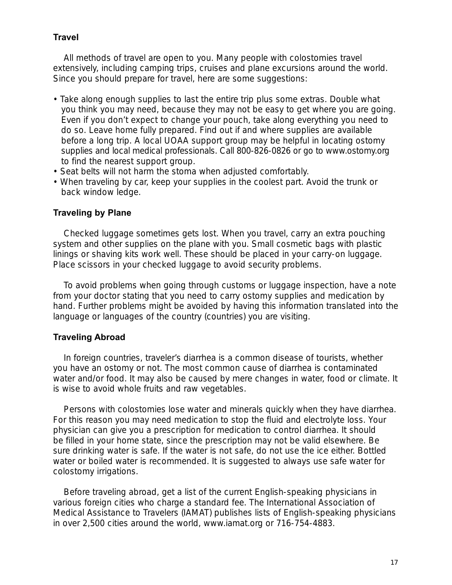#### **Travel**

All methods of travel are open to you. Many people with colostomies travel extensively, including camping trips, cruises and plane excursions around the world. Since you should prepare for travel, here are some suggestions:

- Take along enough supplies to last the entire trip plus some extras. Double what you think you may need, because they may not be easy to get where you are going. Even if you don't expect to change your pouch, take along everything you need to do so. Leave home fully prepared. Find out if and where supplies are available before a long trip. A local UOAA support group may be helpful in locating ostomy supplies and local medical professionals. Call 800-826-0826 or go to www.ostomy.org to find the nearest support group.
- Seat belts will not harm the stoma when adjusted comfortably.
- When traveling by car, keep your supplies in the coolest part. Avoid the trunk or back window ledge.

#### **Traveling by Plane**

Checked luggage sometimes gets lost. When you travel, carry an extra pouching system and other supplies on the plane with you. Small cosmetic bags with plastic linings or shaving kits work well. These should be placed in your carry-on luggage. Place scissors in your checked luggage to avoid security problems.

To avoid problems when going through customs or luggage inspection, have a note from your doctor stating that you need to carry ostomy supplies and medication by hand. Further problems might be avoided by having this information translated into the language or languages of the country (countries) you are visiting.

#### **Traveling Abroad**

In foreign countries, traveler's diarrhea is a common disease of tourists, whether you have an ostomy or not. The most common cause of diarrhea is contaminated water and/or food. It may also be caused by mere changes in water, food or climate. It is wise to avoid whole fruits and raw vegetables.

Persons with colostomies lose water and minerals quickly when they have diarrhea. For this reason you may need medication to stop the fluid and electrolyte loss. Your physician can give you a prescription for medication to control diarrhea. It should be filled in your home state, since the prescription may not be valid elsewhere. Be sure drinking water is safe. If the water is not safe, do not use the ice either. Bottled water or boiled water is recommended. It is suggested to always use safe water for colostomy irrigations.

Before traveling abroad, get a list of the current English-speaking physicians in various foreign cities who charge a standard fee. The International Association of Medical Assistance to Travelers (IAMAT) publishes lists of English-speaking physicians in over 2,500 cities around the world, www.iamat.org or 716-754-4883.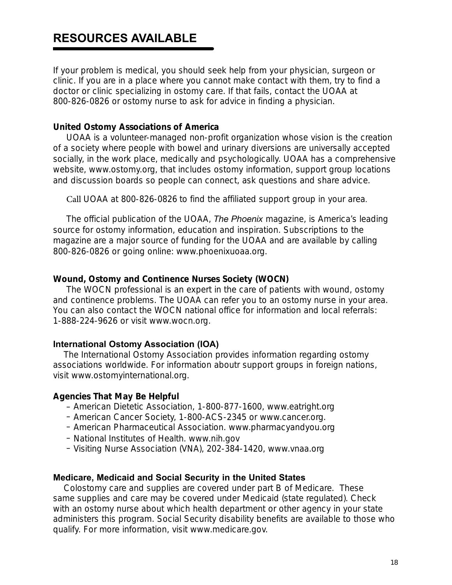### **RESOURCES AVAILABLE**

If your problem is medical, you should seek help from your physician, surgeon or clinic. If you are in a place where you cannot make contact with them, try to find a doctor or clinic specializing in ostomy care. If that fails, contact the UOAA at 800-826-0826 or ostomy nurse to ask for advice in finding a physician.

#### **United Ostomy Associations of America**

UOAA is a volunteer-managed non-profit organization whose vision is the creation of a society where people with bowel and urinary diversions are universally accepted socially, in the work place, medically and psychologically. UOAA has a comprehensive website, www.ostomy.org, that includes ostomy information, support group locations and discussion boards so people can connect, ask questions and share advice.

Call UOAA at 800-826-0826 to find the affiliated support group in your area.

The official publication of the UOAA, The Phoenix magazine, is America's leading source for ostomy information, education and inspiration. Subscriptions to the magazine are a major source of funding for the UOAA and are available by calling 800-826-0826 or going online: www.phoenixuoaa.org.

#### **Wound, Ostomy and Continence Nurses Society (WOCN)**

The WOCN professional is an expert in the care of patients with wound, ostomy and continence problems. The UOAA can refer you to an ostomy nurse in your area. You can also contact the WOCN national office for information and local referrals: 1-888-224-9626 or visit www.wocn.org.

#### **International Ostomy Association (IOA)**

The International Ostomy Association provides information regarding ostomy associations worldwide. For information aboutr support groups in foreign nations, visit www.ostomyinternational.org.

#### **Agencies That May Be Helpful**

- American Dietetic Association, 1-800-877-1600, www.eatright.org
- American Cancer Society, 1-800-ACS-2345 or www.cancer.org.
- American Pharmaceutical Association. www.pharmacyandyou.org
- National Institutes of Health. www.nih.gov
- Visiting Nurse Association (VNA), 202-384-1420, www.vnaa.org

#### **Medicare, Medicaid and Social Security in the United States**

Colostomy care and supplies are covered under part B of Medicare. These same supplies and care may be covered under Medicaid (state regulated). Check with an ostomy nurse about which health department or other agency in your state administers this program. Social Security disability benefits are available to those who qualify. For more information, visit www.medicare.gov.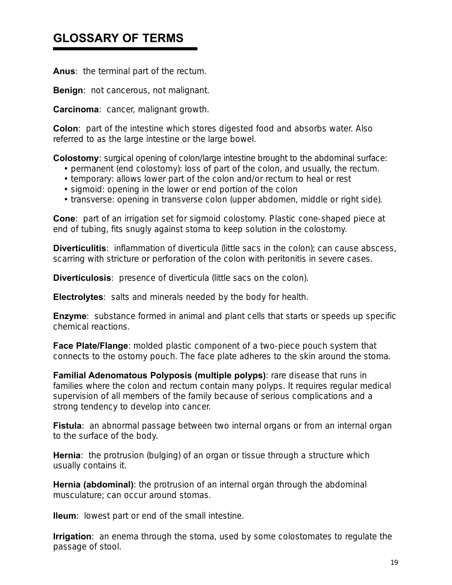### **GLOSSARY OF TERMS**

**Anus**: the terminal part of the rectum.

**Benign**: not cancerous, not malignant.

**Carcinoma**: cancer, malignant growth.

**Colon**: part of the intestine which stores digested food and absorbs water. Also referred to as the large intestine or the large bowel.

**Colostomy**: surgical opening of colon/large intestine brought to the abdominal surface:

- permanent (end colostomy): loss of part of the colon, and usually, the rectum.
- temporary: allows lower part of the colon and/or rectum to heal or rest
- sigmoid: opening in the lower or end portion of the colon
- transverse: opening in transverse colon (upper abdomen, middle or right side).

**Cone**: part of an irrigation set for sigmoid colostomy. Plastic cone-shaped piece at end of tubing, fits snugly against stoma to keep solution in the colostomy.

**Diverticulitis**: inflammation of diverticula (little sacs in the colon); can cause abscess, scarring with stricture or perforation of the colon with peritonitis in severe cases.

**Diverticulosis**: presence of diverticula (little sacs on the colon).

**Electrolytes**: salts and minerals needed by the body for health.

**Enzyme:** substance formed in animal and plant cells that starts or speeds up specific chemical reactions.

**Face Plate/Flange**: molded plastic component of a two-piece pouch system that connects to the ostomy pouch. The face plate adheres to the skin around the stoma.

**Familial Adenomatous Polyposis (multiple polyps)**: rare disease that runs in families where the colon and rectum contain many polyps. It requires regular medical supervision of all members of the family because of serious complications and a strong tendency to develop into cancer.

**Fistula**: an abnormal passage between two internal organs or from an internal organ to the surface of the body.

**Hernia**: the protrusion (bulging) of an organ or tissue through a structure which usually contains it.

**Hernia (abdominal)**: the protrusion of an internal organ through the abdominal musculature; can occur around stomas.

**Ileum**: lowest part or end of the small intestine.

**Irrigation**: an enema through the stoma, used by some colostomates to regulate the passage of stool.